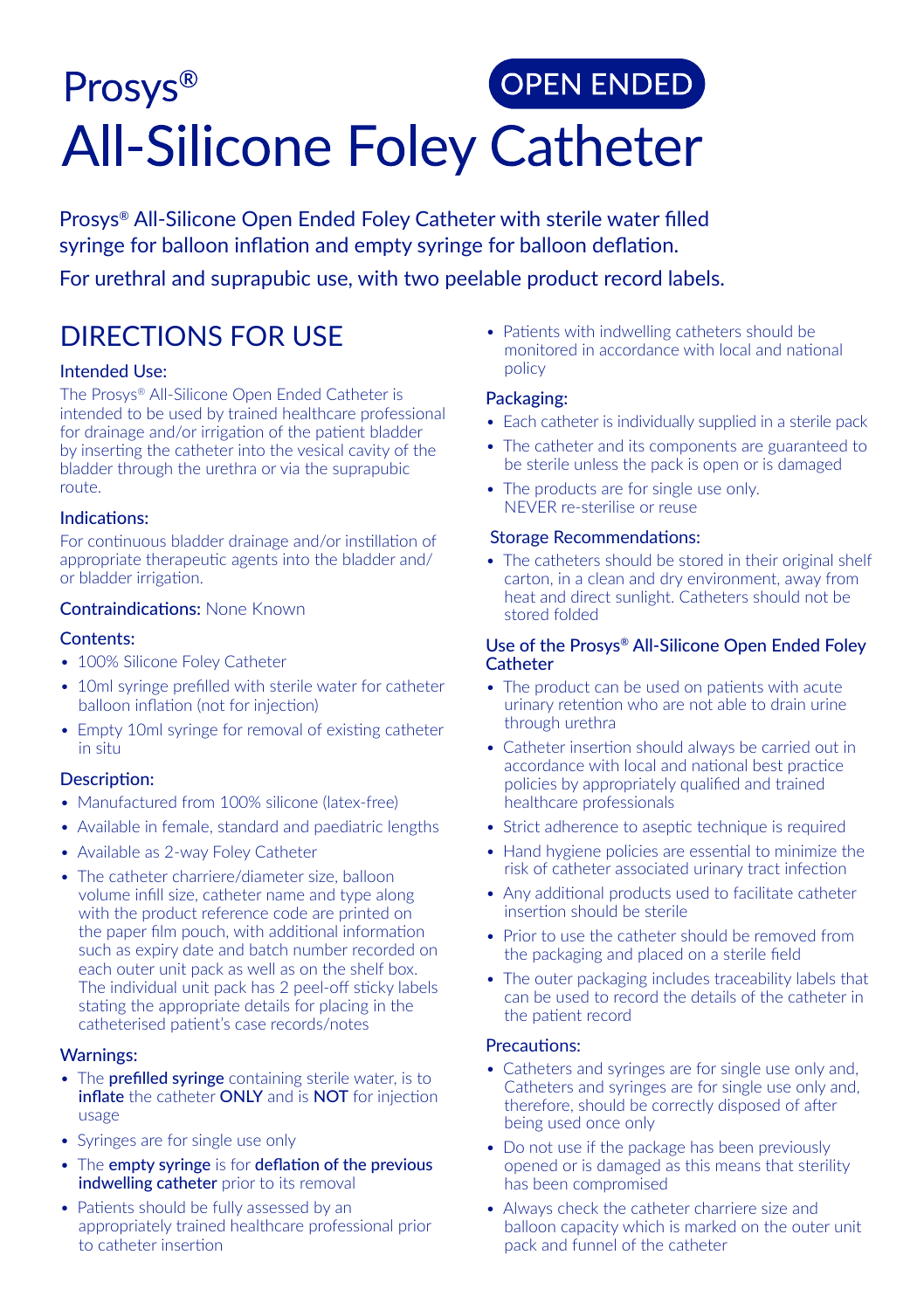# OPEN ENDED Prosys® **All-Silicone Foley Catheter**

Prosys® All-Silicone Open Ended Foley Catheter with sterile water filled syringe for balloon inflation and empty syringe for balloon deflation.

For urethral and suprapubic use, with two peelable product record labels.

## DIRECTIONS FOR USE

### Intended Use:

The Prosys® All-Silicone Open Ended Catheter is intended to be used by trained healthcare professional for drainage and/or irrigation of the patient bladder by inserting the catheter into the vesical cavity of the bladder through the urethra or via the suprapubic route.

#### Indications:

For continuous bladder drainage and/or instillation of appropriate therapeutic agents into the bladder and/ or bladder irrigation.

#### Contraindications: None Known

#### Contents:

- 100% Silicone Foley Catheter
- 10ml syringe prefilled with sterile water for catheter balloon inflation (not for injection)
- Empty 10ml syringe for removal of existing catheter in situ

#### Description:

- Manufactured from 100% silicone (latex-free)
- Available in female, standard and paediatric lengths
- Available as 2-way Foley Catheter
- The catheter charriere/diameter size, balloon volume infill size, catheter name and type along with the product reference code are printed on the paper film pouch, with additional information such as expiry date and batch number recorded on each outer unit pack as well as on the shelf box. The individual unit pack has 2 peel-off sticky labels stating the appropriate details for placing in the catheterised patient's case records/notes

#### Warnings:

- The **prefilled syringe** containing sterile water, is to inflate the catheter ONLY and is NOT for injection usage
- Syringes are for single use only
- The empty syringe is for deflation of the previous indwelling catheter prior to its removal
- Patients should be fully assessed by an appropriately trained healthcare professional prior to catheter insertion

• Patients with indwelling catheters should be monitored in accordance with local and national policy

#### Packaging:

- Each catheter is individually supplied in a sterile pack
- The catheter and its components are guaranteed to be sterile unless the pack is open or is damaged
- The products are for single use only. NEVER re-sterilise or reuse

#### Storage Recommendations:

• The catheters should be stored in their original shelf carton, in a clean and dry environment, away from heat and direct sunlight. Catheters should not be stored folded

#### Use of the Prosys® All-Silicone Open Ended Foley **Catheter**

- The product can be used on patients with acute urinary retention who are not able to drain urine through urethra
- Catheter insertion should always be carried out in accordance with local and national best practice policies by appropriately qualified and trained healthcare professionals
- Strict adherence to aseptic technique is required
- Hand hygiene policies are essential to minimize the risk of catheter associated urinary tract infection
- Any additional products used to facilitate catheter insertion should be sterile
- Prior to use the catheter should be removed from the packaging and placed on a sterile field
- The outer packaging includes traceability labels that can be used to record the details of the catheter in the patient record

#### Precautions:

- Catheters and syringes are for single use only and, Catheters and syringes are for single use only and, therefore, should be correctly disposed of after being used once only
- Do not use if the package has been previously opened or is damaged as this means that sterility has been compromised
- Always check the catheter charriere size and balloon capacity which is marked on the outer unit pack and funnel of the catheter